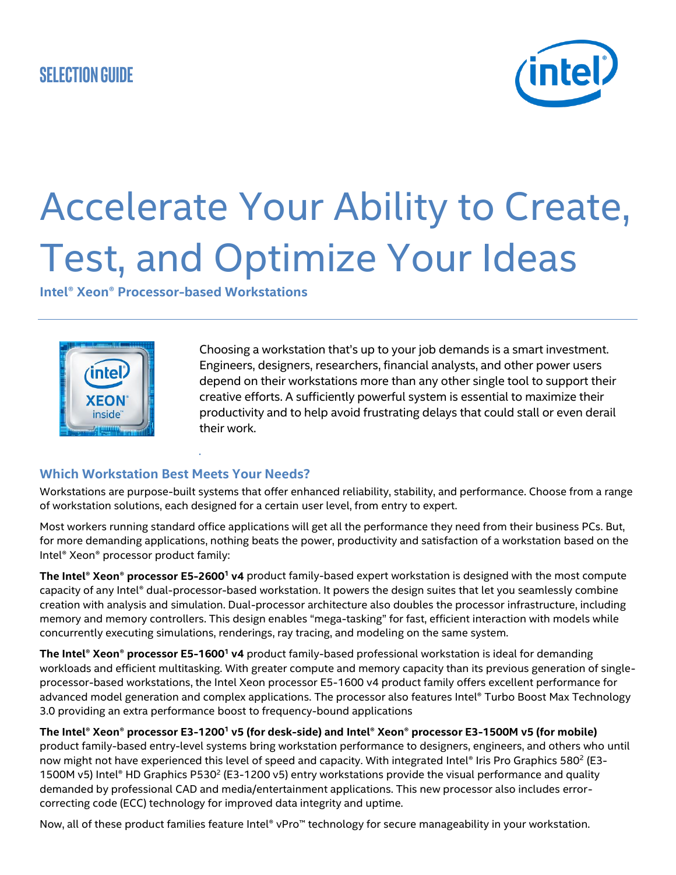# **Selection Guide**



# Accelerate Your Ability to Create, Test, and Optimize Your Ideas

**Intel® Xeon® Processor-based Workstations**



Choosing a workstation that's up to your job demands is a smart investment. Engineers, designers, researchers, financial analysts, and other power users depend on their workstations more than any other single tool to support their creative efforts. A sufficiently powerful system is essential to maximize their productivity and to help avoid frustrating delays that could stall or even derail their work.

## **Which Workstation Best Meets Your Needs?**

.

Workstations are purpose-built systems that offer enhanced reliability, stability, and performance. Choose from a range of workstation solutions, each designed for a certain user level, from entry to expert.

Most workers running standard office applications will get all the performance they need from their business PCs. But, for more demanding applications, nothing beats the power, productivity and satisfaction of a workstation based on the Intel® Xeon® processor product family:

**The Intel® Xeon® processor E5-2600<sup>1</sup> v4** product family-based expert workstation is designed with the most compute capacity of any Intel® dual-processor-based workstation. It powers the design suites that let you seamlessly combine creation with analysis and simulation. Dual-processor architecture also doubles the processor infrastructure, including memory and memory controllers. This design enables "mega-tasking" for fast, efficient interaction with models while concurrently executing simulations, renderings, ray tracing, and modeling on the same system.

**The Intel® Xeon® processor E5-1600<sup>1</sup> v4** product family-based professional workstation is ideal for demanding workloads and efficient multitasking. With greater compute and memory capacity than its previous generation of singleprocessor-based workstations, the Intel Xeon processor E5-1600 v4 product family offers excellent performance for advanced model generation and complex applications. The processor also features Intel® Turbo Boost Max Technology 3.0 providing an extra performance boost to frequency-bound applications

**The Intel® Xeon® processor E3-1200<sup>1</sup> v5 (for desk-side) and Intel® Xeon® processor E3-1500M v5 (for mobile)** product family-based entry-level systems bring workstation performance to designers, engineers, and others who until now might not have experienced this level of speed and capacity. With integrated Intel® Iris Pro Graphics 580<sup>2</sup> (E3-1500M v5) Intel® HD Graphics P530<sup>2</sup> (E3-1200 v5) entry workstations provide the visual performance and quality demanded by professional CAD and media/entertainment applications. This new processor also includes errorcorrecting code (ECC) technology for improved data integrity and uptime.

Now, all of these product families feature Intel® vPro™ technology for secure manageability in your workstation.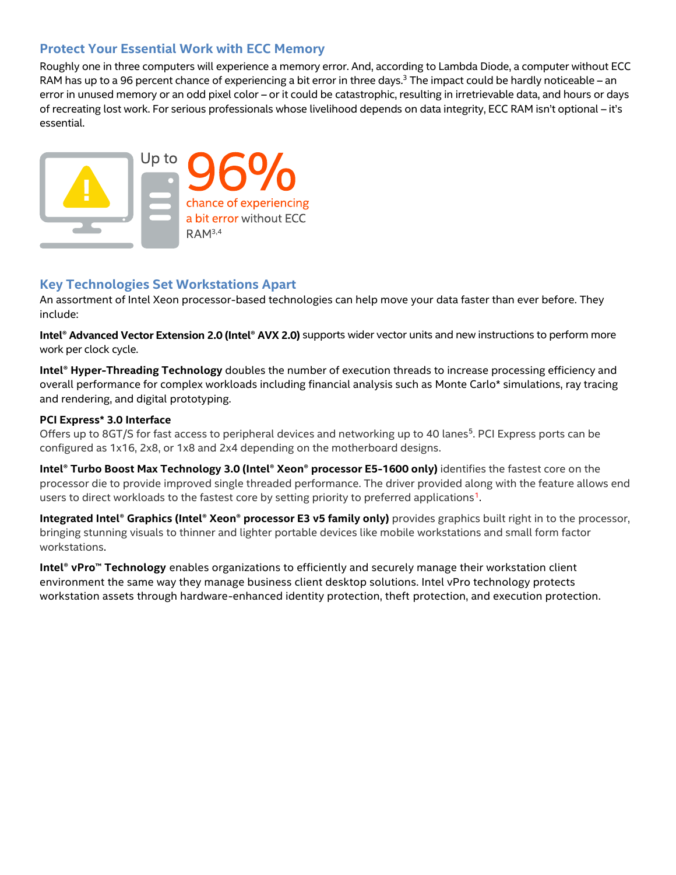## **Protect Your Essential Work with ECC Memory**

Roughly one in three computers will experience a memory error. And, according to Lambda Diode, a computer without ECC RAM has up to a 96 percent chance of experiencing a bit error in three days.<sup>3</sup> The impact could be hardly noticeable – an error in unused memory or an odd pixel color – or it could be catastrophic, resulting in irretrievable data, and hours or days of recreating lost work. For serious professionals whose livelihood depends on data integrity, ECC RAM isn't optional – it's essential.



## **Key Technologies Set Workstations Apart**

An assortment of Intel Xeon processor-based technologies can help move your data faster than ever before. They include:

**Intel® Advanced Vector Extension 2.0 (Intel® AVX 2.0)** supports wider vector units and new instructions to perform more work per clock cycle.

**Intel® Hyper-Threading Technology** doubles the number of execution threads to increase processing efficiency and overall performance for complex workloads including financial analysis such as Monte Carlo\* simulations, ray tracing and rendering, and digital prototyping.

## **PCI Express\* 3.0 Interface**

Offers up to 8GT/S for fast access to peripheral devices and networking up to 40 lanes<sup>5</sup>. PCI Express ports can be configured as 1x16, 2x8, or 1x8 and 2x4 depending on the motherboard designs.

**Intel® Turbo Boost Max Technology 3.0 (Intel® Xeon® processor E5-1600 only)** identifies the fastest core on the processor die to provide improved single threaded performance. The driver provided along with the feature allows end users to direct workloads to the fastest core by setting priority to preferred applications<sup>1</sup>.

**Integrated Intel® Graphics (Intel® Xeon® processor E3 v5 family only)** provides graphics built right in to the processor, bringing stunning visuals to thinner and lighter portable devices like mobile workstations and small form factor workstations.

**Intel® vPro™ Technology** enables organizations to efficiently and securely manage their workstation client environment the same way they manage business client desktop solutions. Intel vPro technology protects workstation assets through hardware-enhanced identity protection, theft protection, and execution protection.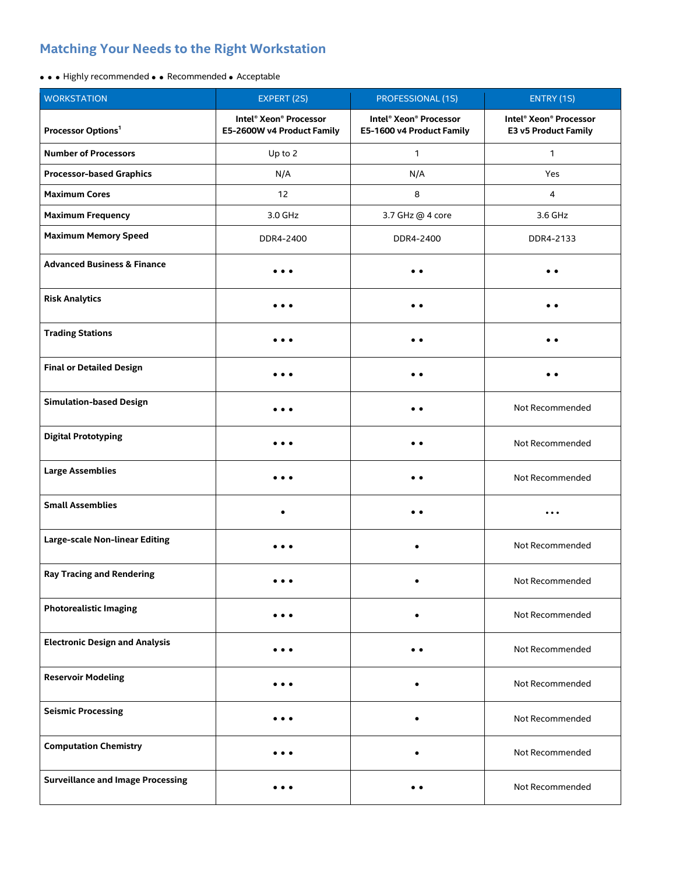## **Matching Your Needs to the Right Workstation**

## • • • Highly recommended • • Recommended • Acceptable

| <b>WORKSTATION</b>                       | EXPERT (2S)                                          | <b>PROFESSIONAL (1S)</b>                            | ENTRY (1S)                                     |
|------------------------------------------|------------------------------------------------------|-----------------------------------------------------|------------------------------------------------|
| Processor Options <sup>1</sup>           | Intel® Xeon® Processor<br>E5-2600W v4 Product Family | Intel® Xeon® Processor<br>E5-1600 v4 Product Family | Intel® Xeon® Processor<br>E3 v5 Product Family |
| <b>Number of Processors</b>              | Up to 2                                              | $\mathbf{1}$                                        | 1                                              |
| <b>Processor-based Graphics</b>          | N/A                                                  | N/A                                                 | Yes                                            |
| <b>Maximum Cores</b>                     | 12                                                   | 8                                                   | 4                                              |
| <b>Maximum Frequency</b>                 | 3.0 GHz                                              | 3.7 GHz @ 4 core                                    | 3.6 GHz                                        |
| <b>Maximum Memory Speed</b>              | DDR4-2400                                            | DDR4-2400                                           | DDR4-2133                                      |
| <b>Advanced Business &amp; Finance</b>   |                                                      |                                                     |                                                |
| <b>Risk Analytics</b>                    | .                                                    | . .                                                 | $^{\circ}$                                     |
| <b>Trading Stations</b>                  | $\bullet\bullet\bullet$                              | $\bullet\;\bullet$                                  | $\bullet\;\bullet$                             |
| <b>Final or Detailed Design</b>          | $\bullet\bullet\bullet$                              | $\bullet\;\bullet$                                  | $\bullet\;\bullet$                             |
| <b>Simulation-based Design</b>           | $\bullet\bullet\bullet$                              | $\bullet$                                           | Not Recommended                                |
| <b>Digital Prototyping</b>               |                                                      |                                                     | Not Recommended                                |
| <b>Large Assemblies</b>                  | .                                                    | . .                                                 | Not Recommended                                |
| <b>Small Assemblies</b>                  | $\bullet$                                            | $\bullet\;\bullet$                                  | $\ddotsc$                                      |
| Large-scale Non-linear Editing           | $\bullet\bullet\bullet$                              | ٠                                                   | Not Recommended                                |
| <b>Ray Tracing and Rendering</b>         |                                                      |                                                     | Not Recommended                                |
| <b>Photorealistic Imaging</b>            | $\bullet\bullet\bullet$                              | $\bullet$                                           | Not Recommended                                |
| <b>Electronic Design and Analysis</b>    |                                                      |                                                     | Not Recommended                                |
| <b>Reservoir Modeling</b>                | $\bullet\bullet\bullet$                              | ٠                                                   | Not Recommended                                |
| <b>Seismic Processing</b>                |                                                      | ٠                                                   | Not Recommended                                |
| <b>Computation Chemistry</b>             | $\cdots$                                             | $\bullet$                                           | Not Recommended                                |
| <b>Surveillance and Image Processing</b> | .                                                    | $\bullet\;\bullet$                                  | Not Recommended                                |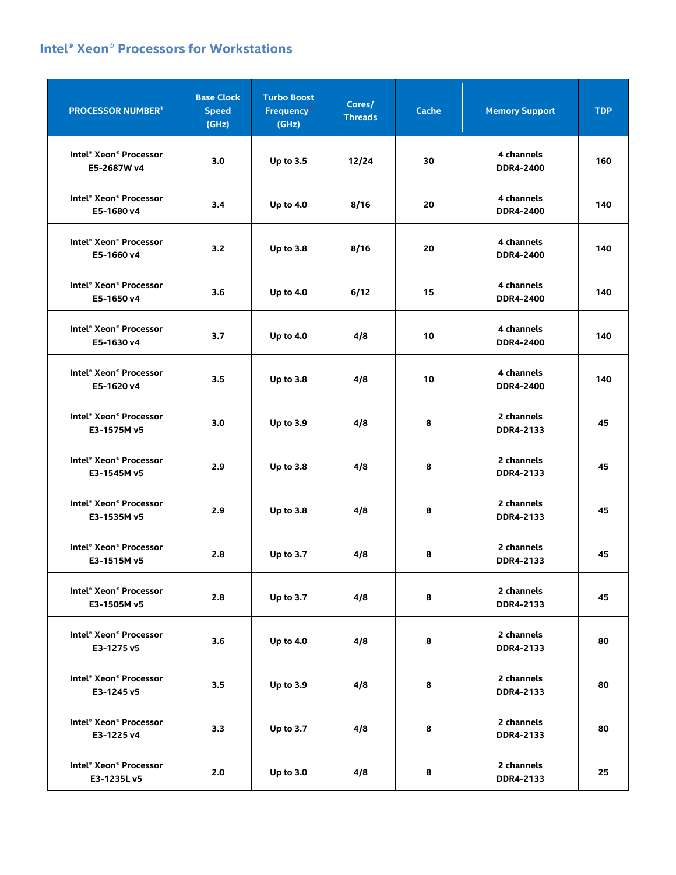## **Intel® Xeon® Processors for Workstations**

| <b>PROCESSOR NUMBER1</b>                                      | <b>Base Clock</b><br><b>Speed</b><br>(GHz) | <b>Turbo Boost</b><br>Frequency <sup>2</sup><br>(GHz) | Cores/<br><b>Threads</b> | <b>Cache</b> | <b>Memory Support</b>          | <b>TDP</b> |
|---------------------------------------------------------------|--------------------------------------------|-------------------------------------------------------|--------------------------|--------------|--------------------------------|------------|
| Intel <sup>®</sup> Xeon <sup>®</sup> Processor<br>E5-2687W v4 | 3.0                                        | Up to 3.5                                             | 12/24                    | 30           | 4 channels<br><b>DDR4-2400</b> | 160        |
| Intel® Xeon® Processor<br>E5-1680 v4                          | 3.4                                        | Up to 4.0                                             | 8/16                     | 20           | 4 channels<br><b>DDR4-2400</b> | 140        |
| Intel® Xeon® Processor<br>E5-1660 v4                          | 3.2                                        | <b>Up to 3.8</b>                                      | 8/16                     | 20           | 4 channels<br><b>DDR4-2400</b> | 140        |
| Intel® Xeon® Processor<br>E5-1650 v4                          | 3.6                                        | <b>Up to 4.0</b>                                      | 6/12                     | 15           | 4 channels<br><b>DDR4-2400</b> | 140        |
| Intel® Xeon® Processor<br>E5-1630 v4                          | 3.7                                        | <b>Up to 4.0</b>                                      | 4/8                      | 10           | 4 channels<br><b>DDR4-2400</b> | 140        |
| Intel® Xeon® Processor<br>E5-1620 v4                          | 3.5                                        | <b>Up to 3.8</b>                                      | 4/8                      | 10           | 4 channels<br><b>DDR4-2400</b> | 140        |
| Intel® Xeon® Processor<br>E3-1575M v5                         | 3.0                                        | Up to 3.9                                             | 4/8                      | 8            | 2 channels<br>DDR4-2133        | 45         |
| Intel® Xeon® Processor<br>E3-1545M v5                         | 2.9                                        | <b>Up to 3.8</b>                                      | 4/8                      | 8            | 2 channels<br>DDR4-2133        | 45         |
| Intel® Xeon® Processor<br>E3-1535M v5                         | 2.9                                        | <b>Up to 3.8</b>                                      | 4/8                      | 8            | 2 channels<br>DDR4-2133        | 45         |
| Intel® Xeon® Processor<br>E3-1515M v5                         | 2.8                                        | Up to 3.7                                             | 4/8                      | 8            | 2 channels<br>DDR4-2133        | 45         |
| Intel® Xeon® Processor<br>E3-1505M v5                         | 2.8                                        | <b>Up to 3.7</b>                                      | 4/8                      | 8            | 2 channels<br>DDR4-2133        | 45         |
| Intel® Xeon® Processor<br>E3-1275 v5                          | 3.6                                        | <b>Up to 4.0</b>                                      | 4/8                      | 8            | 2 channels<br>DDR4-2133        | 80         |
| Intel® Xeon® Processor<br>E3-1245 v5                          | 3.5                                        | Up to 3.9                                             | 4/8                      | 8            | 2 channels<br>DDR4-2133        | 80         |
| Intel® Xeon® Processor<br>E3-1225 v4                          | 3.3                                        | Up to 3.7                                             | 4/8                      | 8            | 2 channels<br>DDR4-2133        | 80         |
| Intel® Xeon® Processor<br>E3-1235Lv5                          | 2.0                                        | <b>Up to 3.0</b>                                      | 4/8                      | 8            | 2 channels<br>DDR4-2133        | 25         |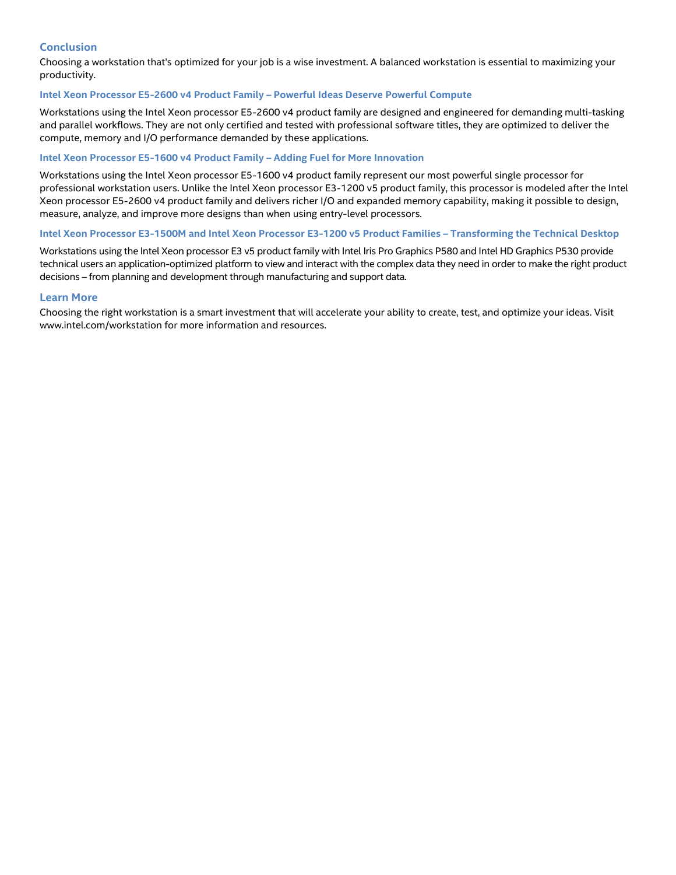## **Conclusion**

Choosing a workstation that's optimized for your job is a wise investment. A balanced workstation is essential to maximizing your productivity.

### **Intel Xeon Processor E5-2600 v4 Product Family – Powerful Ideas Deserve Powerful Compute**

Workstations using the Intel Xeon processor E5-2600 v4 product family are designed and engineered for demanding multi-tasking and parallel workflows. They are not only certified and tested with professional software titles, they are optimized to deliver the compute, memory and I/O performance demanded by these applications.

#### **Intel Xeon Processor E5-1600 v4 Product Family – Adding Fuel for More Innovation**

Workstations using the Intel Xeon processor E5-1600 v4 product family represent our most powerful single processor for professional workstation users. Unlike the Intel Xeon processor E3-1200 v5 product family, this processor is modeled after the Intel Xeon processor E5-2600 v4 product family and delivers richer I/O and expanded memory capability, making it possible to design, measure, analyze, and improve more designs than when using entry-level processors.

### **Intel Xeon Processor E3-1500M and Intel Xeon Processor E3-1200 v5 Product Families – Transforming the Technical Desktop**

Workstations using the Intel Xeon processor E3 v5 product family with Intel Iris Pro Graphics P580 and Intel HD Graphics P530 provide technical users an application-optimized platform to view and interact with the complex data they need in order to make the right product decisions – from planning and development through manufacturing and support data.

### **Learn More**

Choosing the right workstation is a smart investment that will accelerate your ability to create, test, and optimize your ideas. Visit www.intel.com/workstation for more information and resources.